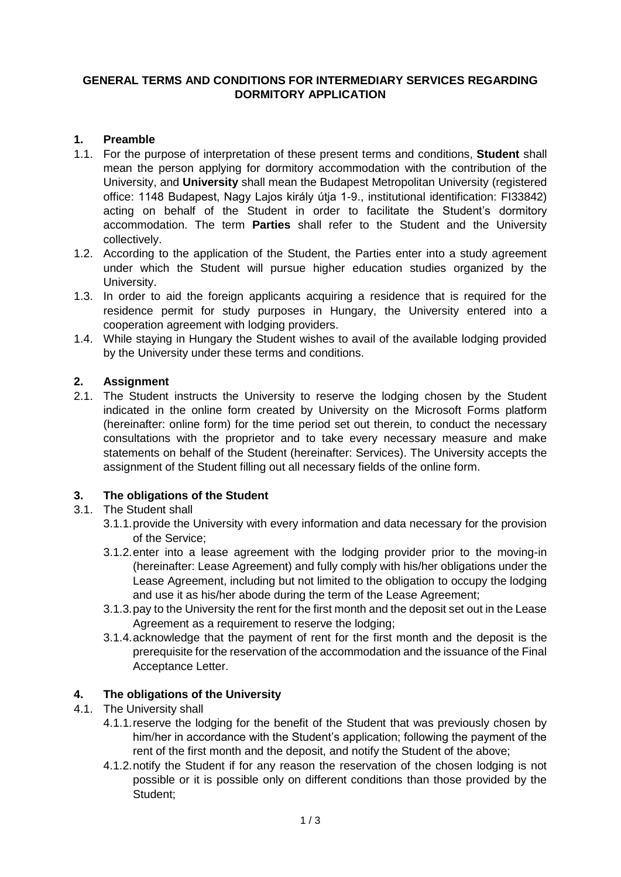#### **GENERAL TERMS AND CONDITIONS FOR INTERMEDIARY SERVICES REGARDING DORMITORY APPLICATION**

### **1. Preamble**

- 1.1. For the purpose of interpretation of these present terms and conditions, **Student** shall mean the person applying for dormitory accommodation with the contribution of the University, and **University** shall mean the Budapest Metropolitan University (registered office: 1148 Budapest, Nagy Lajos király útja 1-9., institutional identification: FI33842) acting on behalf of the Student in order to facilitate the Student's dormitory accommodation. The term **Parties** shall refer to the Student and the University collectively.
- 1.2. According to the application of the Student, the Parties enter into a study agreement under which the Student will pursue higher education studies organized by the University.
- 1.3. In order to aid the foreign applicants acquiring a residence that is required for the residence permit for study purposes in Hungary, the University entered into a cooperation agreement with lodging providers.
- 1.4. While staying in Hungary the Student wishes to avail of the available lodging provided by the University under these terms and conditions.

# **2. Assignment**

2.1. The Student instructs the University to reserve the lodging chosen by the Student indicated in the online form created by University on the Microsoft Forms platform (hereinafter: online form) for the time period set out therein, to conduct the necessary consultations with the proprietor and to take every necessary measure and make statements on behalf of the Student (hereinafter: Services). The University accepts the assignment of the Student filling out all necessary fields of the online form.

# **3. The obligations of the Student**

# 3.1. The Student shall

- 3.1.1.provide the University with every information and data necessary for the provision of the Service;
- 3.1.2.enter into a lease agreement with the lodging provider prior to the moving-in (hereinafter: Lease Agreement) and fully comply with his/her obligations under the Lease Agreement, including but not limited to the obligation to occupy the lodging and use it as his/her abode during the term of the Lease Agreement;
- 3.1.3.pay to the University the rent for the first month and the deposit set out in the Lease Agreement as a requirement to reserve the lodging:
- 3.1.4.acknowledge that the payment of rent for the first month and the deposit is the prerequisite for the reservation of the accommodation and the issuance of the Final Acceptance Letter.

# **4. The obligations of the University**

- 4.1. The University shall
	- 4.1.1.reserve the lodging for the benefit of the Student that was previously chosen by him/her in accordance with the Student's application; following the payment of the rent of the first month and the deposit, and notify the Student of the above;
	- 4.1.2.notify the Student if for any reason the reservation of the chosen lodging is not possible or it is possible only on different conditions than those provided by the Student;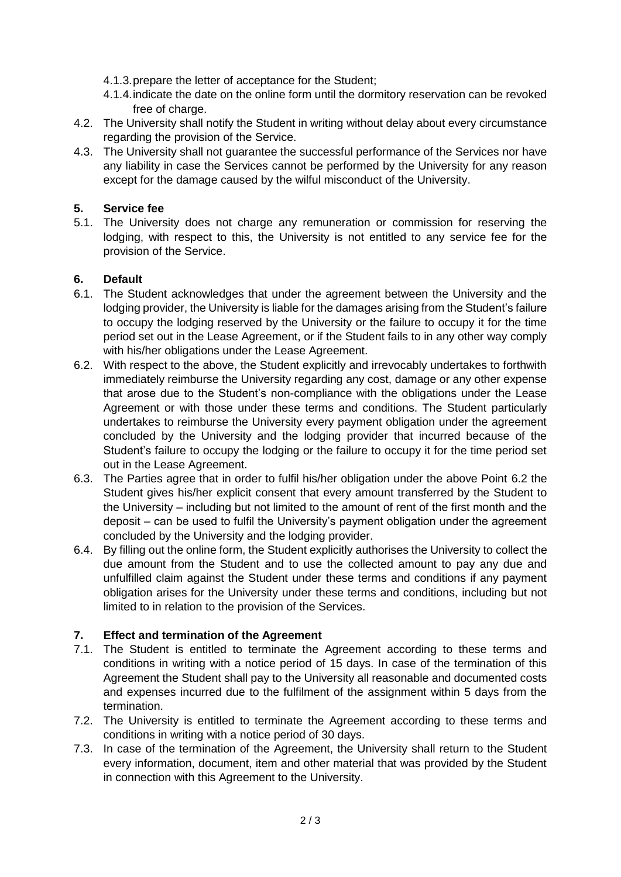- 4.1.3.prepare the letter of acceptance for the Student;
- 4.1.4.indicate the date on the online form until the dormitory reservation can be revoked free of charge.
- 4.2. The University shall notify the Student in writing without delay about every circumstance regarding the provision of the Service.
- 4.3. The University shall not guarantee the successful performance of the Services nor have any liability in case the Services cannot be performed by the University for any reason except for the damage caused by the wilful misconduct of the University.

#### **5. Service fee**

5.1. The University does not charge any remuneration or commission for reserving the lodging, with respect to this, the University is not entitled to any service fee for the provision of the Service.

#### **6. Default**

- 6.1. The Student acknowledges that under the agreement between the University and the lodging provider, the University is liable for the damages arising from the Student's failure to occupy the lodging reserved by the University or the failure to occupy it for the time period set out in the Lease Agreement, or if the Student fails to in any other way comply with his/her obligations under the Lease Agreement.
- 6.2. With respect to the above, the Student explicitly and irrevocably undertakes to forthwith immediately reimburse the University regarding any cost, damage or any other expense that arose due to the Student's non-compliance with the obligations under the Lease Agreement or with those under these terms and conditions. The Student particularly undertakes to reimburse the University every payment obligation under the agreement concluded by the University and the lodging provider that incurred because of the Student's failure to occupy the lodging or the failure to occupy it for the time period set out in the Lease Agreement.
- 6.3. The Parties agree that in order to fulfil his/her obligation under the above Point 6.2 the Student gives his/her explicit consent that every amount transferred by the Student to the University – including but not limited to the amount of rent of the first month and the deposit – can be used to fulfil the University's payment obligation under the agreement concluded by the University and the lodging provider.
- 6.4. By filling out the online form, the Student explicitly authorises the University to collect the due amount from the Student and to use the collected amount to pay any due and unfulfilled claim against the Student under these terms and conditions if any payment obligation arises for the University under these terms and conditions, including but not limited to in relation to the provision of the Services.

### **7. Effect and termination of the Agreement**

- 7.1. The Student is entitled to terminate the Agreement according to these terms and conditions in writing with a notice period of 15 days. In case of the termination of this Agreement the Student shall pay to the University all reasonable and documented costs and expenses incurred due to the fulfilment of the assignment within 5 days from the termination.
- 7.2. The University is entitled to terminate the Agreement according to these terms and conditions in writing with a notice period of 30 days.
- 7.3. In case of the termination of the Agreement, the University shall return to the Student every information, document, item and other material that was provided by the Student in connection with this Agreement to the University.